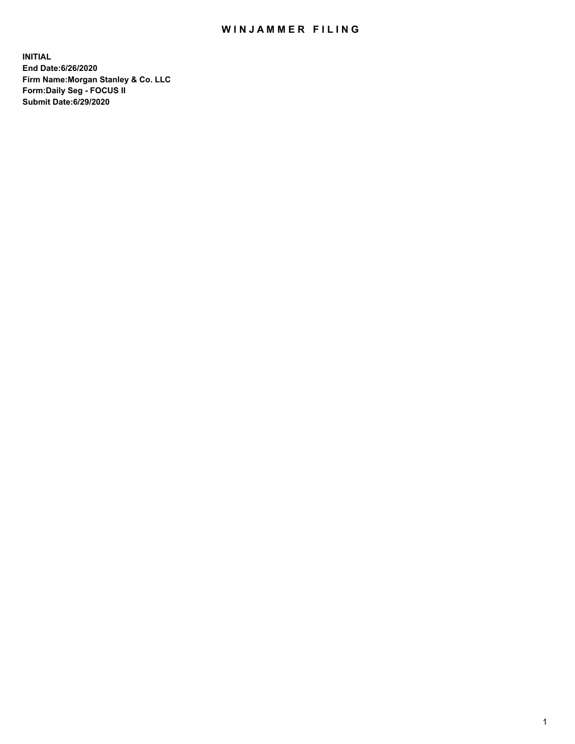## WIN JAMMER FILING

**INITIAL End Date:6/26/2020 Firm Name:Morgan Stanley & Co. LLC Form:Daily Seg - FOCUS II Submit Date:6/29/2020**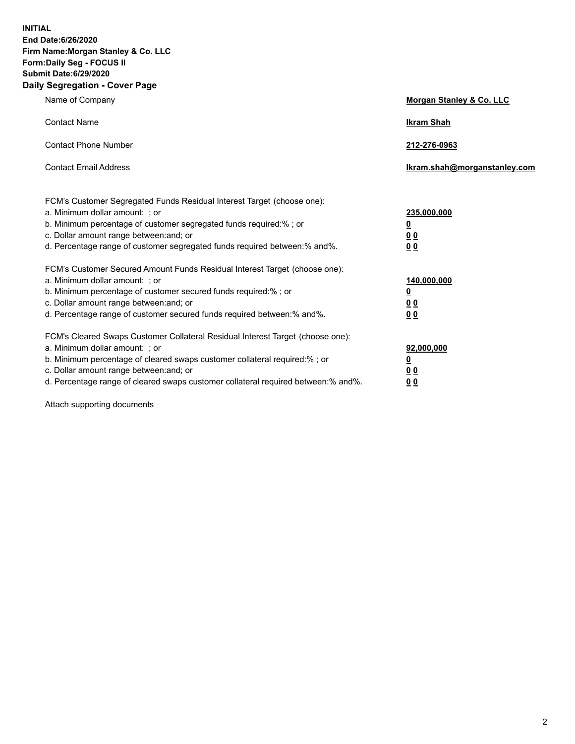**INITIAL End Date:6/26/2020 Firm Name:Morgan Stanley & Co. LLC Form:Daily Seg - FOCUS II Submit Date:6/29/2020 Daily Segregation - Cover Page**

| Name of Company                                                                                                                                                                                                                                                                                                                | Morgan Stanley & Co. LLC                                |
|--------------------------------------------------------------------------------------------------------------------------------------------------------------------------------------------------------------------------------------------------------------------------------------------------------------------------------|---------------------------------------------------------|
| <b>Contact Name</b>                                                                                                                                                                                                                                                                                                            | <b>Ikram Shah</b>                                       |
| <b>Contact Phone Number</b>                                                                                                                                                                                                                                                                                                    | 212-276-0963                                            |
| <b>Contact Email Address</b>                                                                                                                                                                                                                                                                                                   | Ikram.shah@morganstanley.com                            |
| FCM's Customer Segregated Funds Residual Interest Target (choose one):<br>a. Minimum dollar amount: ; or<br>b. Minimum percentage of customer segregated funds required:% ; or<br>c. Dollar amount range between: and; or<br>d. Percentage range of customer segregated funds required between:% and%.                         | 235,000,000<br><u>0</u><br><u>00</u><br><u>00</u>       |
| FCM's Customer Secured Amount Funds Residual Interest Target (choose one):<br>a. Minimum dollar amount: ; or<br>b. Minimum percentage of customer secured funds required:%; or<br>c. Dollar amount range between: and; or<br>d. Percentage range of customer secured funds required between:% and%.                            | 140,000,000<br><u>0</u><br><u>0 0</u><br>0 <sub>0</sub> |
| FCM's Cleared Swaps Customer Collateral Residual Interest Target (choose one):<br>a. Minimum dollar amount: ; or<br>b. Minimum percentage of cleared swaps customer collateral required:% ; or<br>c. Dollar amount range between: and; or<br>d. Percentage range of cleared swaps customer collateral required between:% and%. | 92,000,000<br><u>0</u><br><u>00</u><br>00               |

Attach supporting documents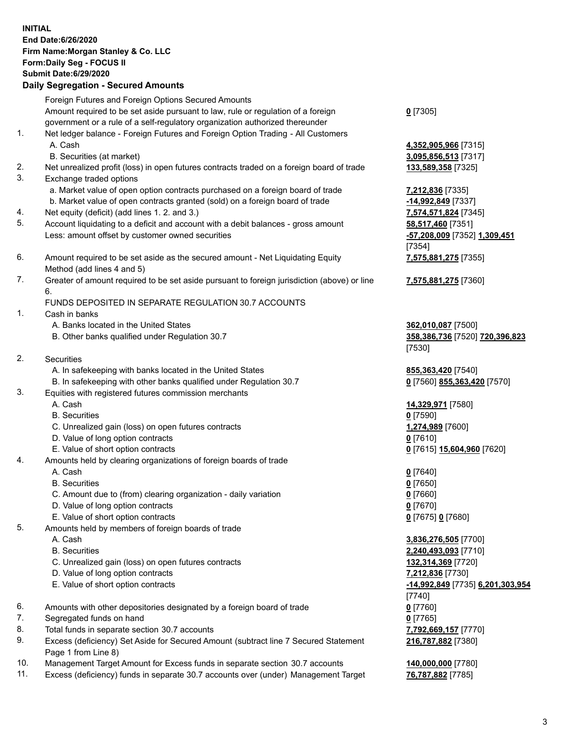## **INITIAL End Date:6/26/2020 Firm Name:Morgan Stanley & Co. LLC Form:Daily Seg - FOCUS II Submit Date:6/29/2020 Daily Segregation - Secured Amounts** Foreign Futures and Foreign Options Secured Amounts Amount required to be set aside pursuant to law, rule or regulation of a foreign government or a rule of a self-regulatory organization authorized thereunder **0** [7305] 1. Net ledger balance - Foreign Futures and Foreign Option Trading - All Customers A. Cash **4,352,905,966** [7315] B. Securities (at market) **3,095,856,513** [7317] 2. Net unrealized profit (loss) in open futures contracts traded on a foreign board of trade **133,589,358** [7325] 3. Exchange traded options a. Market value of open option contracts purchased on a foreign board of trade **7,212,836** [7335] b. Market value of open contracts granted (sold) on a foreign board of trade **-14,992,849** [7337] 4. Net equity (deficit) (add lines 1. 2. and 3.) **7,574,571,824** [7345] 5. Account liquidating to a deficit and account with a debit balances - gross amount **58,517,460** [7351] Less: amount offset by customer owned securities **-57,208,009** [7352] **1,309,451** [7354] 6. Amount required to be set aside as the secured amount - Net Liquidating Equity Method (add lines 4 and 5) **7,575,881,275** [7355] 7. Greater of amount required to be set aside pursuant to foreign jurisdiction (above) or line 6. **7,575,881,275** [7360] FUNDS DEPOSITED IN SEPARATE REGULATION 30.7 ACCOUNTS 1. Cash in banks A. Banks located in the United States **362,010,087** [7500] B. Other banks qualified under Regulation 30.7 **358,386,736** [7520] **720,396,823** [7530] 2. Securities A. In safekeeping with banks located in the United States **855,363,420** [7540] B. In safekeeping with other banks qualified under Regulation 30.7 **0** [7560] **855,363,420** [7570] 3. Equities with registered futures commission merchants A. Cash **14,329,971** [7580] B. Securities **0** [7590] C. Unrealized gain (loss) on open futures contracts **1,274,989** [7600] D. Value of long option contracts **0** [7610] E. Value of short option contracts **0** [7615] **15,604,960** [7620] 4. Amounts held by clearing organizations of foreign boards of trade A. Cash **0** [7640] B. Securities **0** [7650] C. Amount due to (from) clearing organization - daily variation **0** [7660] D. Value of long option contracts **0** [7670] E. Value of short option contracts **0** [7675] **0** [7680] 5. Amounts held by members of foreign boards of trade A. Cash **3,836,276,505** [7700] B. Securities **2,240,493,093** [7710] C. Unrealized gain (loss) on open futures contracts **132,314,369** [7720] D. Value of long option contracts **7,212,836** [7730] E. Value of short option contracts **-14,992,849** [7735] **6,201,303,954** [7740] 6. Amounts with other depositories designated by a foreign board of trade **0** [7760] 7. Segregated funds on hand **0** [7765] 8. Total funds in separate section 30.7 accounts **7,792,669,157** [7770] 9. Excess (deficiency) Set Aside for Secured Amount (subtract line 7 Secured Statement Page 1 from Line 8) **216,787,882** [7380]

- 10. Management Target Amount for Excess funds in separate section 30.7 accounts **140,000,000** [7780]
- 11. Excess (deficiency) funds in separate 30.7 accounts over (under) Management Target **76,787,882** [7785]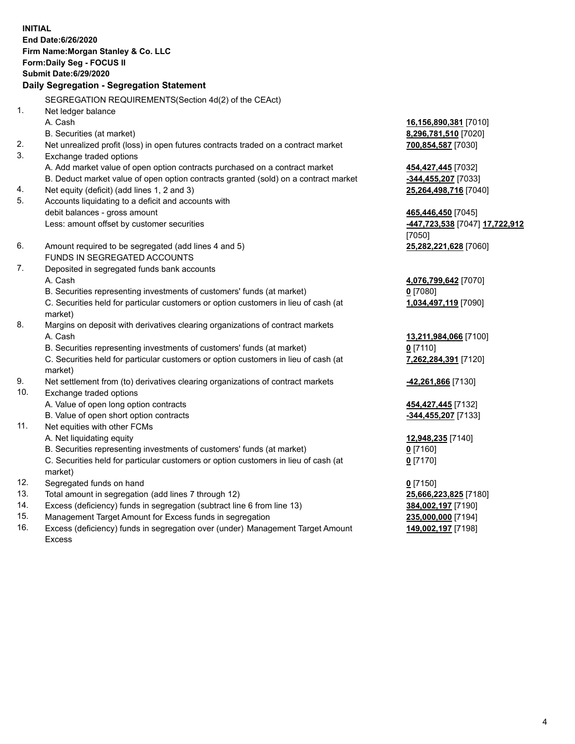**INITIAL End Date:6/26/2020 Firm Name:Morgan Stanley & Co. LLC Form:Daily Seg - FOCUS II Submit Date:6/29/2020 Daily Segregation - Segregation Statement** SEGREGATION REQUIREMENTS(Section 4d(2) of the CEAct) 1. Net ledger balance A. Cash **16,156,890,381** [7010] B. Securities (at market) **8,296,781,510** [7020] 2. Net unrealized profit (loss) in open futures contracts traded on a contract market **700,854,587** [7030] 3. Exchange traded options A. Add market value of open option contracts purchased on a contract market **454,427,445** [7032] B. Deduct market value of open option contracts granted (sold) on a contract market **-344,455,207** [7033] 4. Net equity (deficit) (add lines 1, 2 and 3) **25,264,498,716** [7040] 5. Accounts liquidating to a deficit and accounts with debit balances - gross amount **465,446,450** [7045] Less: amount offset by customer securities **-447,723,538** [7047] **17,722,912** [7050] 6. Amount required to be segregated (add lines 4 and 5) **25,282,221,628** [7060] FUNDS IN SEGREGATED ACCOUNTS 7. Deposited in segregated funds bank accounts A. Cash **4,076,799,642** [7070] B. Securities representing investments of customers' funds (at market) **0** [7080] C. Securities held for particular customers or option customers in lieu of cash (at market) **1,034,497,119** [7090] 8. Margins on deposit with derivatives clearing organizations of contract markets A. Cash **13,211,984,066** [7100] B. Securities representing investments of customers' funds (at market) **0** [7110] C. Securities held for particular customers or option customers in lieu of cash (at market) **7,262,284,391** [7120] 9. Net settlement from (to) derivatives clearing organizations of contract markets **-42,261,866** [7130] 10. Exchange traded options A. Value of open long option contracts **454,427,445** [7132] B. Value of open short option contracts **-344,455,207** [7133] 11. Net equities with other FCMs A. Net liquidating equity **12,948,235** [7140] B. Securities representing investments of customers' funds (at market) **0** [7160] C. Securities held for particular customers or option customers in lieu of cash (at market) **0** [7170] 12. Segregated funds on hand **0** [7150] 13. Total amount in segregation (add lines 7 through 12) **25,666,223,825** [7180] 14. Excess (deficiency) funds in segregation (subtract line 6 from line 13) **384,002,197** [7190] 15. Management Target Amount for Excess funds in segregation **235,000,000** [7194]

16. Excess (deficiency) funds in segregation over (under) Management Target Amount Excess

**149,002,197** [7198]